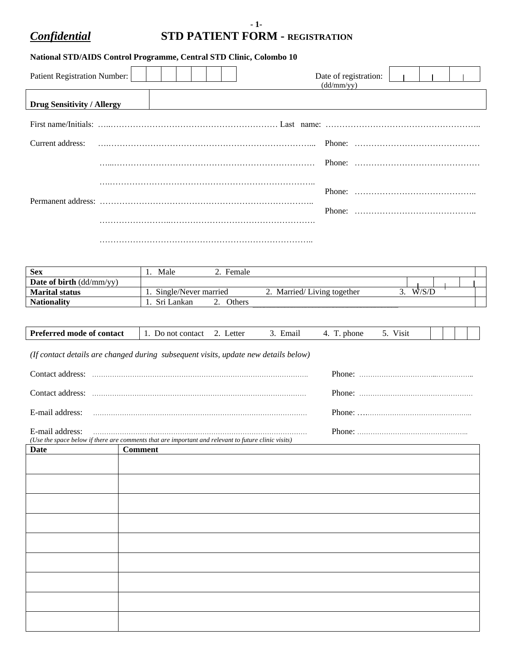## **- 1-** *Confidential* **STD PATIENT FORM - REGISTRATION**

### **National STD/AIDS Control Programme, Central STD Clinic, Colombo 10**

| Patient Registration Number:      |  |  |  |  | (dd/mm/yy) | Date of registration: |  |  |
|-----------------------------------|--|--|--|--|------------|-----------------------|--|--|
| <b>Drug Sensitivity / Allergy</b> |  |  |  |  |            |                       |  |  |
|                                   |  |  |  |  |            |                       |  |  |
|                                   |  |  |  |  |            |                       |  |  |
|                                   |  |  |  |  |            |                       |  |  |
|                                   |  |  |  |  |            |                       |  |  |
|                                   |  |  |  |  |            |                       |  |  |
|                                   |  |  |  |  |            |                       |  |  |

| <b>Sex</b>                        | Male                 | Female                  |      |  |  |
|-----------------------------------|----------------------|-------------------------|------|--|--|
| <b>Date of birth</b> $(dd/mm/yy)$ |                      |                         |      |  |  |
| <b>Marital status</b>             | Single/Never married | Married/Living together | 'S/L |  |  |
| <b>Nationality</b>                | -Sri `<br>Lankan     | Others                  |      |  |  |

| D.<br>contact<br>-01<br> | noi<br>ЭC<br>тас | etter | наг | ш | .<br>$1 + 0 +$<br>-151. |  |  |
|--------------------------|------------------|-------|-----|---|-------------------------|--|--|

*(If contact details are changed during subsequent visits, update new details below)*

| E-mail address: |                                                                                                     |  |
|-----------------|-----------------------------------------------------------------------------------------------------|--|
| E-mail address: | (Use the space below if there are comments that are important and relevant to future clinic visits) |  |
| <b>Date</b>     | <b>Comment</b>                                                                                      |  |
|                 |                                                                                                     |  |
|                 |                                                                                                     |  |
|                 |                                                                                                     |  |
|                 |                                                                                                     |  |
|                 |                                                                                                     |  |
|                 |                                                                                                     |  |
|                 |                                                                                                     |  |
|                 |                                                                                                     |  |
|                 |                                                                                                     |  |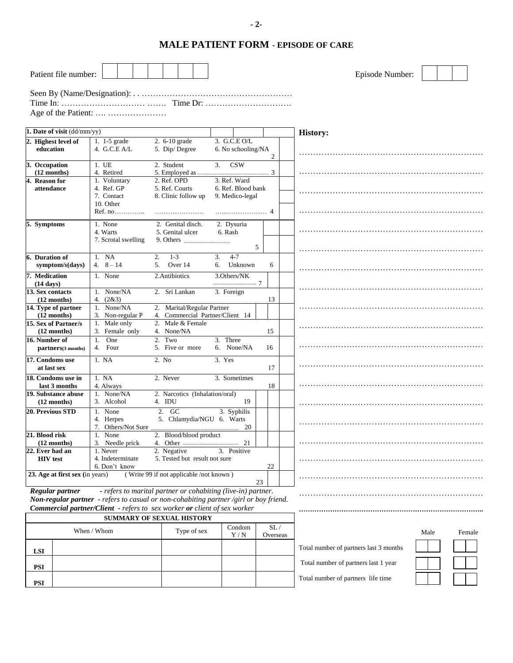**MALE PATIENT FORM - EPISODE OF CARE**

| Patient file number:                                       |                                                          |                                                                                                                                                                                                                                                |                                                       |                 | Episode Number:                        |
|------------------------------------------------------------|----------------------------------------------------------|------------------------------------------------------------------------------------------------------------------------------------------------------------------------------------------------------------------------------------------------|-------------------------------------------------------|-----------------|----------------------------------------|
|                                                            |                                                          |                                                                                                                                                                                                                                                |                                                       |                 |                                        |
|                                                            |                                                          |                                                                                                                                                                                                                                                |                                                       |                 |                                        |
| 1. Date of visit (dd/mm/yy)                                |                                                          |                                                                                                                                                                                                                                                | 3. G.C.E O/L                                          |                 | <b>History:</b>                        |
| 2. Highest level of<br>education                           | 1. $1-5$ grade<br>4. $G.C.E A/L$                         | 2. 6-10 grade<br>5. Dip/Degree                                                                                                                                                                                                                 | 6. No schooling/NA                                    | 2               |                                        |
| 3. Occupation<br>$(12$ months)                             | 1. UE<br>4. Retired                                      | 2. Student                                                                                                                                                                                                                                     | 3.<br><b>CSW</b>                                      |                 |                                        |
| 4. Reason for<br>attendance                                | 1. Voluntary<br>4. Ref. GP<br>7. Contact<br>10. Other    | 2. Ref. OPD<br>5. Ref. Courts<br>8. Clinic follow up                                                                                                                                                                                           | 3. Ref. Ward<br>6. Ref. Blood bank<br>9. Medico-legal |                 |                                        |
| 5. Symptoms                                                | 1. None<br>4. Warts<br>7. Scrotal swelling               | 2. Genital disch.<br>5. Genital ulcer                                                                                                                                                                                                          | 2. Dysuria<br>6. Rash                                 | 5               |                                        |
| 6. Duration of<br>symptom/s(days)                          | 1. NA<br>4. $8 - 14$                                     | 2.<br>$1 - 3$<br>Over 14<br>5.                                                                                                                                                                                                                 | 3.<br>$4 - 7$<br>6.<br>Unknown                        | 6               |                                        |
| 7. Medication<br>$(14 \text{ days})$                       | 1. None                                                  | 2. Antibiotics                                                                                                                                                                                                                                 | 3.Others/NK                                           |                 |                                        |
| 13. Sex contacts<br>$(12$ months)                          | 1. None/NA<br>4. $(2&3)$                                 | 2. Sri Lankan                                                                                                                                                                                                                                  | 3. Foreign                                            | 13              |                                        |
| 14. Type of partner<br>$(12$ months)                       | 1. None/NA<br>3. Non-regular P                           | 2. Marital/Regular Partner<br>4. Commercial Partner/Client 14                                                                                                                                                                                  |                                                       |                 |                                        |
| 15. Sex of Partner/s<br>$(12$ months)                      | 1. Male only<br>3. Female only                           | 2. Male & Female<br>4. None/NA<br>2. Two                                                                                                                                                                                                       | 3. Three                                              | 15              |                                        |
| 16. Number of<br>partners(3 months)                        | One<br>1.<br>4. Four                                     | 5. Five or more                                                                                                                                                                                                                                | 6. None/NA                                            | 16              |                                        |
| 17. Condoms use<br>at last sex                             | 1. NA                                                    | 2. No                                                                                                                                                                                                                                          | 3. Yes                                                | 17              |                                        |
| 18. Condoms use in<br>last 3 months<br>19. Substance abuse | 1. NA<br>4. Always<br>1. None/NA                         | 2. Never<br>2. Narcotics (Inhalation/oral)                                                                                                                                                                                                     | 3. Sometimes                                          | 18              |                                        |
| $(12$ months)<br>20. Previous STD                          | 3. Alcohol<br>1. None<br>4. Herpes<br>7. Others/Not Sure | 4. IDU<br>2. GC<br>5. Chlamydia/NGU 6. Warts                                                                                                                                                                                                   | 19<br>3. Syphilis<br>20                               |                 |                                        |
| 21. Blood risk<br>$(12$ months)                            | 1. None<br>3. Needle prick                               | 2. Blood/blood product                                                                                                                                                                                                                         |                                                       |                 |                                        |
| 22. Ever had an<br><b>HIV</b> test                         | 1. Never<br>4. Indeterminate<br>6. Don't know            | 2. Negative<br>5. Tested but result not sure                                                                                                                                                                                                   | 3. Positive                                           | 22              |                                        |
| 23. Age at first sex (in years)                            |                                                          | (Write 99 if not applicable /not known)                                                                                                                                                                                                        |                                                       | 23              |                                        |
| Regular partner                                            |                                                          | - refers to marital partner or cohabiting (live-in) partner.<br><b>Non-regular partner</b> - refers to casual or non-cohabiting partner/girl or boy friend.<br><b>Commercial partner/Client - refers to sex worker or client of sex worker</b> |                                                       |                 |                                        |
|                                                            |                                                          | <b>SUMMARY OF SEXUAL HISTORY</b>                                                                                                                                                                                                               |                                                       |                 |                                        |
|                                                            | When / Whom                                              | Type of sex                                                                                                                                                                                                                                    | Condom<br>Y/N                                         | SL/<br>Overseas | Male<br>Female                         |
| LSI                                                        |                                                          |                                                                                                                                                                                                                                                |                                                       |                 | Total number of partners last 3 months |

**PSI PSI** Total number of partners last 1 year

Total number of partners life time

**- 2-**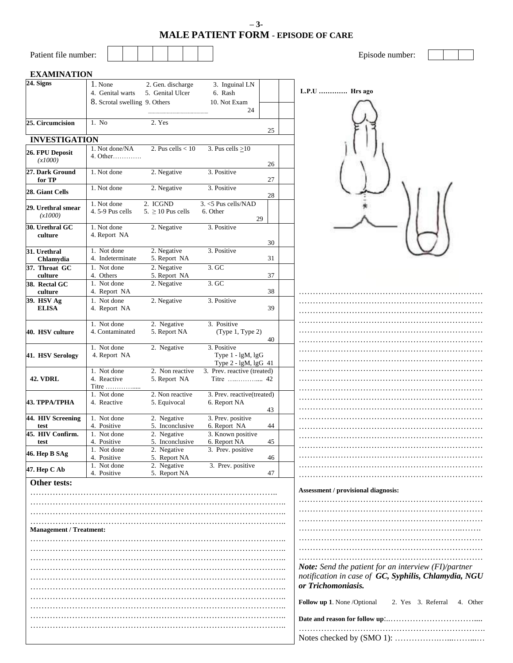**MALE PATIENT FORM - EPISODE OF CARE**

| Patient file<br>number: |  |  |  |  |  |  |  | number:<br>enisode - |
|-------------------------|--|--|--|--|--|--|--|----------------------|
|-------------------------|--|--|--|--|--|--|--|----------------------|

| <b>EXAMINATION</b>             |                                 |                                       |                                                          |    |                                                                            |
|--------------------------------|---------------------------------|---------------------------------------|----------------------------------------------------------|----|----------------------------------------------------------------------------|
| 24. Signs                      | 1. None<br>4. Genital warts     | 2. Gen. discharge<br>5. Genital Ulcer | 3. Inguinal LN<br>6. Rash                                |    | $L.P.U \ldots \ldots \ldots \ldots \text{Hrs ago}$                         |
|                                | 8. Scrotal swelling 9. Others   |                                       | 10. Not Exam<br>24                                       |    |                                                                            |
| 25. Circumcision               | 1. No                           | 2. Yes                                |                                                          | 25 |                                                                            |
| <b>INVESTIGATION</b>           |                                 |                                       |                                                          |    |                                                                            |
| 26. FPU Deposit<br>(x1000)     | 1. Not done/NA<br>4. Other      | 2. Pus cells $< 10$                   | 3. Pus cells $\geq$ 10                                   | 26 |                                                                            |
| 27. Dark Ground<br>for TP      | 1. Not done                     | 2. Negative                           | 3. Positive                                              | 27 |                                                                            |
| 28. Giant Cells                | 1. Not done                     | 2. Negative                           | 3. Positive                                              | 28 |                                                                            |
| 29. Urethral smear<br>(x1000)  | 1. Not done<br>4.5-9 Pus cells  | 2. ICGND<br>$5. \geq 10$ Pus cells    | 3. <5 Pus cells/NAD<br>6. Other<br>29                    |    |                                                                            |
| 30. Urethral GC<br>culture     | 1. Not done<br>4. Report NA     | 2. Negative                           | 3. Positive                                              | 30 |                                                                            |
| 31. Urethral<br>Chlamydia      | 1. Not done<br>4. Indeterminate | 2. Negative<br>5. Report NA           | 3. Positive                                              | 31 |                                                                            |
| 37. Throat GC<br>culture       | 1. Not done<br>4. Others        | 2. Negative<br>5. Report NA           | 3. GC                                                    | 37 |                                                                            |
| 38. Rectal GC<br>culture       | 1. Not done<br>4. Report NA     | 2. Negative                           | 3. GC                                                    | 38 |                                                                            |
| 39. HSV Ag<br><b>ELISA</b>     | 1. Not done<br>4. Report NA     | 2. Negative                           | 3. Positive                                              | 39 |                                                                            |
| 40. HSV culture                | 1. Not done<br>4. Contaminated  | 2. Negative<br>5. Report NA           | 3. Positive<br>(Type 1, Type 2)                          | 40 |                                                                            |
| 41. HSV Serology               | 1. Not done<br>4. Report NA     | 2. Negative                           | 3. Positive<br>Type 1 - lgM, lgG<br>Type 2 - lgM, lgG 41 |    |                                                                            |
| <b>42. VDRL</b>                | 1. Not done<br>4. Reactive      | 2. Non reactive<br>5. Report NA       | 3. Prev. reactive (treated)                              |    |                                                                            |
| 43. ТРРА/ТРНА                  | 1. Not done<br>4. Reactive      | 2. Non reactive<br>5. Equivocal       | 3. Prev. reactive(treated)<br>6. Report NA               | 43 |                                                                            |
| 44. HIV Screening<br>test      | 1. Not done<br>4. Positive      | 2. Negative<br>5. Inconclusive        | 3. Prev. positive<br>6. Report NA                        | 44 |                                                                            |
| 45. HIV Confirm.<br>test       | 1. Not done<br>4. Positive      | 2. Negative<br>5. Inconclusive        | 3. Known positive<br>6. Report NA                        | 45 |                                                                            |
| 46. Hep B SAg                  | 1. Not done<br>4. Positive      | 2. Negative<br>5. Report NA           | 3. Prev. positive                                        | 46 |                                                                            |
| 47. Hep C Ab                   | 1. Not done<br>4. Positive      | 2. Negative<br>5. Report NA           | 3. Prev. positive                                        | 47 |                                                                            |
| Other tests:                   |                                 |                                       |                                                          |    | Assessment / provisional diagnosis:                                        |
|                                |                                 |                                       |                                                          |    |                                                                            |
|                                |                                 |                                       |                                                          |    |                                                                            |
| <b>Management / Treatment:</b> |                                 |                                       |                                                          |    |                                                                            |
|                                |                                 |                                       |                                                          |    |                                                                            |
|                                |                                 |                                       |                                                          |    | <b>Note:</b> Send the patient for an interview (FI)/partner                |
|                                |                                 |                                       |                                                          |    | notification in case of GC, Syphilis, Chlamydia, NGU<br>or Trichomoniasis. |
|                                |                                 |                                       |                                                          |    | Follow up 1. None /Optional<br>2. Yes 3. Referral<br>4. Other              |
|                                |                                 |                                       |                                                          |    |                                                                            |
|                                |                                 |                                       |                                                          |    |                                                                            |
|                                |                                 |                                       |                                                          |    |                                                                            |

**– 3-**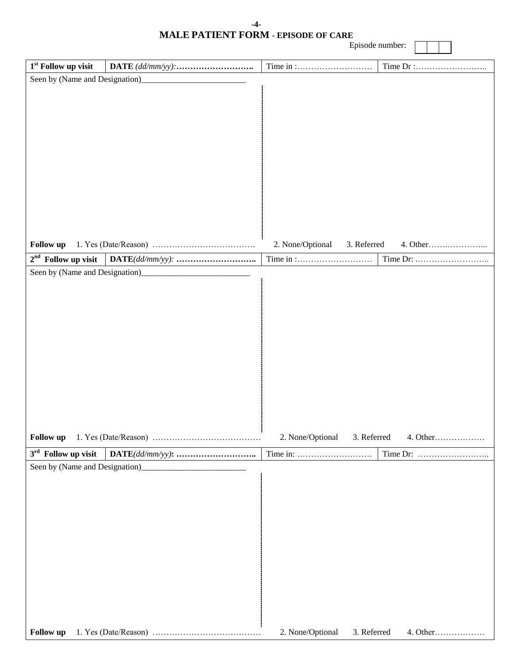**-4-**

# **MALE PATIENT FORM - EPISODE OF CARE**

Episode number:

| $1st$ Follow up visit          |                                 |          |
|--------------------------------|---------------------------------|----------|
| Seen by (Name and Designation) |                                 |          |
|                                |                                 |          |
|                                |                                 |          |
|                                |                                 |          |
|                                |                                 |          |
|                                |                                 |          |
|                                |                                 |          |
|                                |                                 |          |
|                                |                                 |          |
|                                |                                 |          |
|                                |                                 |          |
|                                |                                 |          |
|                                |                                 |          |
|                                |                                 |          |
|                                |                                 |          |
|                                |                                 |          |
| Follow up                      | 2. None/Optional<br>3. Referred |          |
| $2nd$ Follow up visit          |                                 | Time Dr: |
| Seen by (Name and Designation) |                                 |          |
|                                |                                 |          |
|                                |                                 |          |
|                                |                                 |          |
|                                |                                 |          |
|                                |                                 |          |
|                                |                                 |          |
|                                |                                 |          |
|                                |                                 |          |
|                                |                                 |          |
|                                |                                 |          |
|                                |                                 |          |
|                                |                                 |          |
|                                |                                 |          |
|                                |                                 |          |
|                                |                                 |          |
| Follow up                      | 2. None/Optional<br>3. Referred | 4. Other |
| $3rd$ Follow up visit          |                                 |          |
| Seen by (Name and Designation) |                                 |          |
|                                |                                 |          |
|                                |                                 |          |
|                                |                                 |          |
|                                |                                 |          |
|                                |                                 |          |
|                                |                                 |          |
|                                |                                 |          |
|                                |                                 |          |
|                                |                                 |          |
|                                |                                 |          |
|                                |                                 |          |
|                                |                                 |          |

j